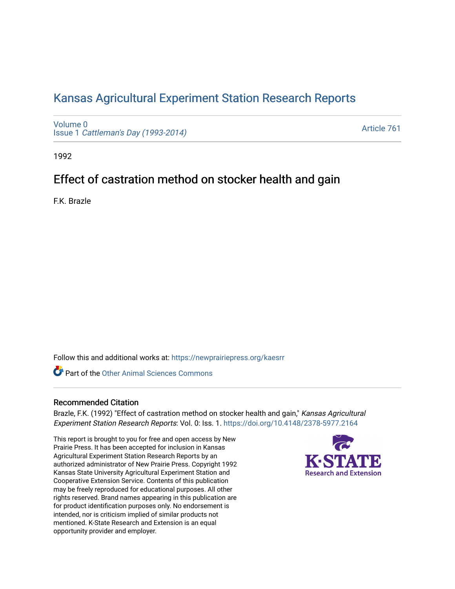# [Kansas Agricultural Experiment Station Research Reports](https://newprairiepress.org/kaesrr)

[Volume 0](https://newprairiepress.org/kaesrr/vol0) Issue 1 [Cattleman's Day \(1993-2014\)](https://newprairiepress.org/kaesrr/vol0/iss1) 

[Article 761](https://newprairiepress.org/kaesrr/vol0/iss1/761) 

1992

# Effect of castration method on stocker health and gain

F.K. Brazle

Follow this and additional works at: [https://newprairiepress.org/kaesrr](https://newprairiepress.org/kaesrr?utm_source=newprairiepress.org%2Fkaesrr%2Fvol0%2Fiss1%2F761&utm_medium=PDF&utm_campaign=PDFCoverPages) 

**C** Part of the [Other Animal Sciences Commons](http://network.bepress.com/hgg/discipline/82?utm_source=newprairiepress.org%2Fkaesrr%2Fvol0%2Fiss1%2F761&utm_medium=PDF&utm_campaign=PDFCoverPages)

### Recommended Citation

Brazle, F.K. (1992) "Effect of castration method on stocker health and gain," Kansas Agricultural Experiment Station Research Reports: Vol. 0: Iss. 1. <https://doi.org/10.4148/2378-5977.2164>

This report is brought to you for free and open access by New Prairie Press. It has been accepted for inclusion in Kansas Agricultural Experiment Station Research Reports by an authorized administrator of New Prairie Press. Copyright 1992 Kansas State University Agricultural Experiment Station and Cooperative Extension Service. Contents of this publication may be freely reproduced for educational purposes. All other rights reserved. Brand names appearing in this publication are for product identification purposes only. No endorsement is intended, nor is criticism implied of similar products not mentioned. K-State Research and Extension is an equal opportunity provider and employer.

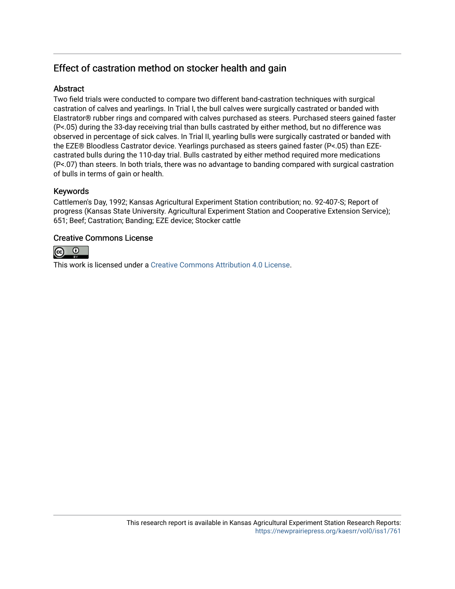## Effect of castration method on stocker health and gain

## Abstract

Two field trials were conducted to compare two different band-castration techniques with surgical castration of calves and yearlings. In Trial I, the bull calves were surgically castrated or banded with Elastrator® rubber rings and compared with calves purchased as steers. Purchased steers gained faster (P<.05) during the 33-day receiving trial than bulls castrated by either method, but no difference was observed in percentage of sick calves. In Trial II, yearling bulls were surgically castrated or banded with the EZE® Bloodless Castrator device. Yearlings purchased as steers gained faster (P<.05) than EZEcastrated bulls during the 110-day trial. Bulls castrated by either method required more medications (P<.07) than steers. In both trials, there was no advantage to banding compared with surgical castration of bulls in terms of gain or health.

### Keywords

Cattlemen's Day, 1992; Kansas Agricultural Experiment Station contribution; no. 92-407-S; Report of progress (Kansas State University. Agricultural Experiment Station and Cooperative Extension Service); 651; Beef; Castration; Banding; EZE device; Stocker cattle

### Creative Commons License



This work is licensed under a [Creative Commons Attribution 4.0 License](https://creativecommons.org/licenses/by/4.0/).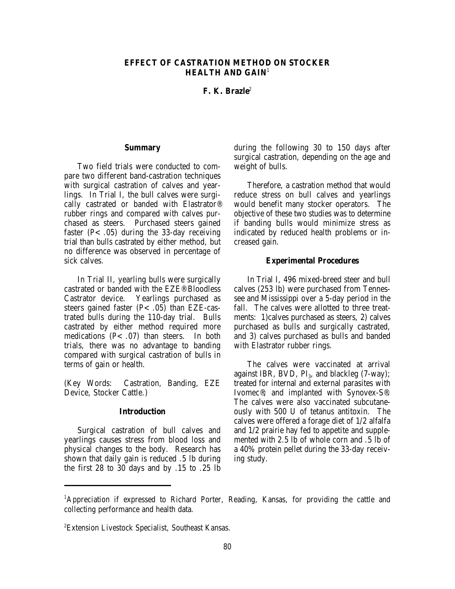#### **EFFECT OF CASTRATION METHOD ON STOCKER HEALTH AND GAIN**<sup>1</sup>

**F. K. Brazle**<sup>2</sup>

#### **Summary**

Two field trials were conducted to compare two different band-castration techniques with surgical castration of calves and yearlings. In Trial I, the bull calves were surgically castrated or banded with Elastrator® rubber rings and compared with calves purchased as steers. Purchased steers gained faster  $(P<.05)$  during the 33-day receiving trial than bulls castrated by either method, but no difference was observed in percentage of sick calves.

In Trial II, yearling bulls were surgically castrated or banded with the EZE® Bloodless Castrator device. Yearlings purchased as steers gained faster  $(P<.05)$  than EZE-castrated bulls during the 110-day trial. Bulls castrated by either method required more medications  $(P<.07)$  than steers. In both trials, there was no advantage to banding compared with surgical castration of bulls in terms of gain or health.

(Key Words: Castration, Banding, EZE Device, Stocker Cattle.)

#### **Introduction**

Surgical castration of bull calves and yearlings causes stress from blood loss and physical changes to the body. Research has shown that daily gain is reduced .5 lb during the first 28 to 30 days and by .15 to .25 lb

during the following 30 to 150 days after surgical castration, depending on the age and weight of bulls.

Therefore, a castration method that would reduce stress on bull calves and yearlings would benefit many stocker operators. The objective of these two studies was to determine if banding bulls would minimize stress as indicated by reduced health problems or increased gain.

#### **Experimental Procedures**

In Trial I, 496 mixed-breed steer and bull calves (253 lb) were purchased from Tennessee and Mississippi over a 5-day period in the fall. The calves were allotted to three treatments: 1)calves purchased as steers, 2) calves purchased as bulls and surgically castrated, and 3) calves purchased as bulls and banded with Elastrator rubber rings.

The calves were vaccinated at arrival against IBR, BVD,  $PI<sub>3</sub>$ , and blackleg (7-way); treated for internal and external parasites with Ivomec®; and implanted with Synovex-S®. The calves were also vaccinated subcutaneously with 500 U of tetanus antitoxin. The calves were offered a forage diet of 1/2 alfalfa and 1/2 prairie hay fed to appetite and supplemented with 2.5 lb of whole corn and .5 lb of a 40% protein pellet during the 33-day receiving study.

<sup>&</sup>lt;sup>1</sup>Appreciation if expressed to Richard Porter, Reading, Kansas, for providing the cattle and collecting performance and health data.

Extension Livestock Specialist, Southeast Kansas. <sup>2</sup>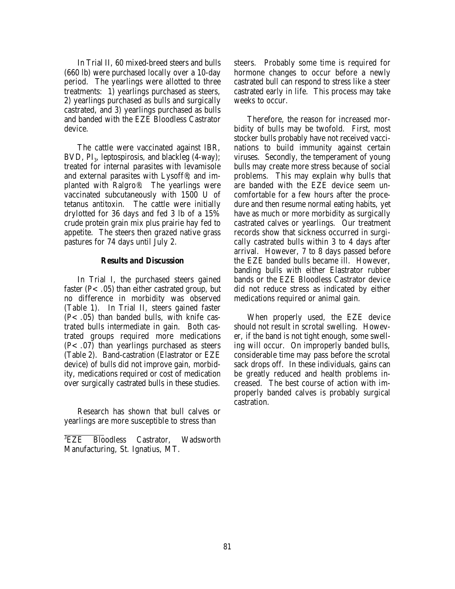In Trial II, 60 mixed-breed steers and bulls (660 lb) were purchased locally over a 10-day period. The yearlings were allotted to three treatments: 1) yearlings purchased as steers, 2) yearlings purchased as bulls and surgically castrated, and 3) yearlings purchased as bulls and banded with the EZE Bloodless Castrator device.

The cattle were vaccinated against IBR, BVD,  $PI_a$ , leptospirosis, and blackleg (4-way); treated for internal parasites with levamisole and external parasites with Lysoff®; and implanted with Ralgro®. The yearlings were vaccinated subcutaneously with 1500 U of tetanus antitoxin. The cattle were initially drylotted for 36 days and fed 3 lb of a 15% crude protein grain mix plus prairie hay fed to appetite. The steers then grazed native grass pastures for 74 days until July 2.

#### **Results and Discussion**

In Trial I, the purchased steers gained faster ( $P$ < .05) than either castrated group, but no difference in morbidity was observed (Table 1). In Trial II, steers gained faster  $(P<.05)$  than banded bulls, with knife castrated bulls intermediate in gain. Both castrated groups required more medications  $(P<.07)$  than yearlings purchased as steers (Table 2). Band-castration (Elastrator or EZE device) of bulls did not improve gain, morbidity, medications required or cost of medication over surgically castrated bulls in these studies.

Research has shown that bull calves or yearlings are more susceptible to stress than

steers. Probably some time is required for hormone changes to occur before a newly castrated bull can respond to stress like a steer castrated early in life. This process may take weeks to occur.

Therefore, the reason for increased morbidity of bulls may be twofold. First, most stocker bulls probably have not received vaccinations to build immunity against certain viruses. Secondly, the temperament of young bulls may create more stress because of social problems. This may explain why bulls that are banded with the EZE device seem uncomfortable for a few hours after the procedure and then resume normal eating habits, yet have as much or more morbidity as surgically castrated calves or yearlings. Our treatment records show that sickness occurred in surgically castrated bulls within 3 to 4 days after arrival. However, 7 to 8 days passed before the EZE banded bulls became ill. However, banding bulls with either Elastrator rubber bands or the EZE Bloodless Castrator device did not reduce stress as indicated by either medications required or animal gain.

When properly used, the EZE device should not result in scrotal swelling. However, if the band is not tight enough, some swelling will occur. On improperly banded bulls, considerable time may pass before the scrotal sack drops off. In these individuals, gains can be greatly reduced and health problems increased. The best course of action with improperly banded calves is probably surgical castration.

<sup>&</sup>lt;sup>3</sup>EZE Bloodless Castrator, Wadsworth Manufacturing, St. Ignatius, MT.